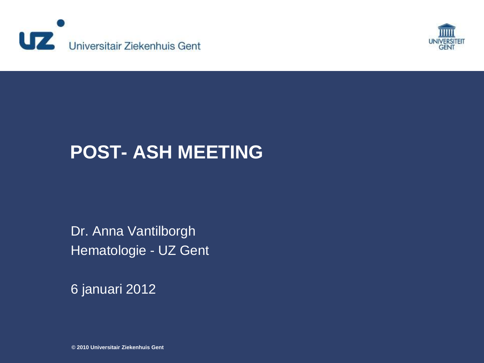



## **POST- ASH MEETING**

Dr. Anna Vantilborgh Hematologie - UZ Gent

6 januari 2012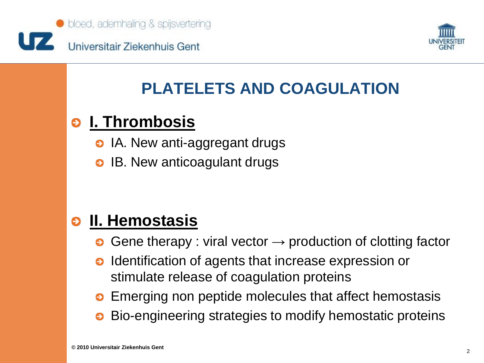



## **PLATELETS AND COAGULATION**

### **I. Thrombosis** €

- **o** IA. New anti-aggregant drugs
- IB. New anticoagulant drugs

### **II. Hemostasis** ဓ

- Gene therapy : viral vector  $\rightarrow$  production of clotting factor
- Identification of agents that increase expression or  $\bullet$ stimulate release of coagulation proteins
- **•** Emerging non peptide molecules that affect hemostasis
- Bio-engineering strategies to modify hemostatic proteins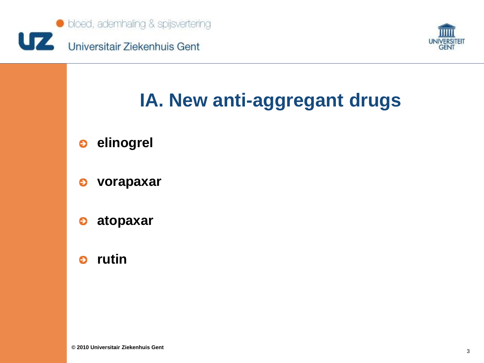



# **IA. New anti-aggregant drugs**

- **elinogrel**  $\bullet$
- **vorapaxar** €
- **atopaxar** €
- **rutin** $\bullet$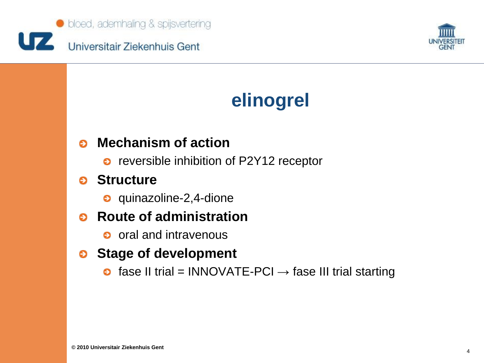



# **elinogrel**

### **Mechanism of action** Θ

• reversible inhibition of P2Y12 receptor

### **Structure** Θ

**o** quinazoline-2,4-dione

### **Route of administration** Θ

o oral and intravenous

### **Stage of development**

 $\bullet$  fase II trial = INNOVATE-PCI  $\rightarrow$  fase III trial starting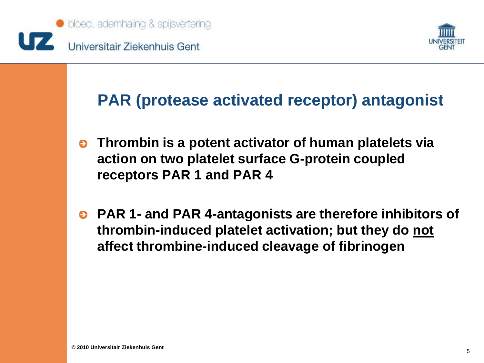



## **PAR (protease activated receptor) antagonist**

- **Thrombin is a potent activator of human platelets via**   $\bullet$ **action on two platelet surface G-protein coupled receptors PAR 1 and PAR 4**
- **PAR 1- and PAR 4-antagonists are therefore inhibitors of thrombin-induced platelet activation; but they do not affect thrombine-induced cleavage of fibrinogen**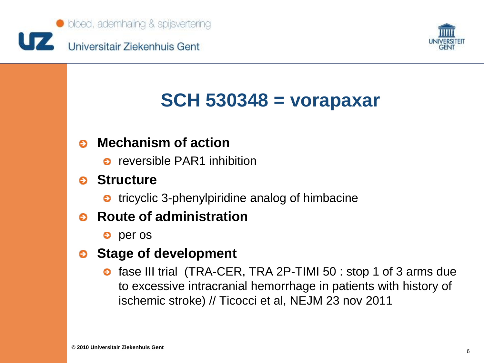



# **SCH 530348 = vorapaxar**

### **Mechanism of action** Θ

**o** reversible PAR1 inhibition

### **Structure**

**●** tricyclic 3-phenylpiridine analog of himbacine

### **Route of administration** Θ

**e** per os

#### **Stage of development** €

**o** fase III trial (TRA-CER, TRA 2P-TIMI 50 : stop 1 of 3 arms due to excessive intracranial hemorrhage in patients with history of ischemic stroke) // Ticocci et al, NEJM 23 nov 2011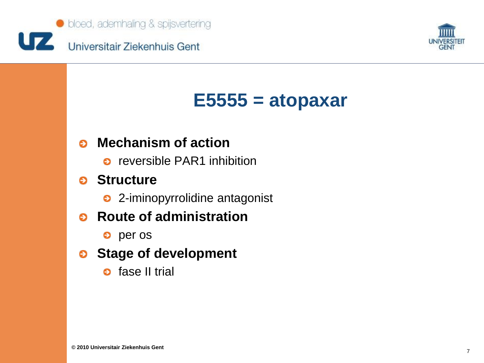



# **E5555 = atopaxar**

### **Mechanism of action** Θ

**o** reversible PAR1 inhibition

#### **Structure** Θ

• 2-iminopyrrolidine antagonist

### **Route of administration** Θ

**e** per os

### **Stage of development**

**o** fase II trial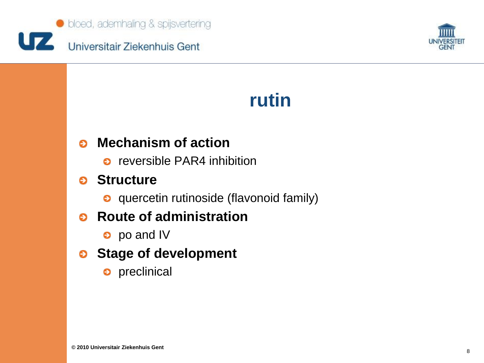



## **rutin**

### **Mechanism of action** Θ

**o** reversible PAR4 inhibition

#### **Structure** Θ

**o** quercetin rutinoside (flavonoid family)

#### **Route of administration** Θ

**e** po and IV

### **Stage of development**

o preclinical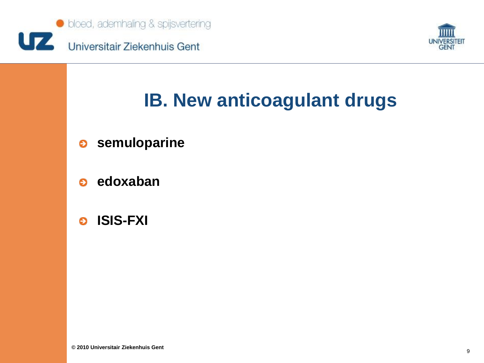



# **IB. New anticoagulant drugs**

- **semuloparine**  $\bullet$
- **edoxaban**  $\bullet$
- **ISIS-FXI** $\bullet$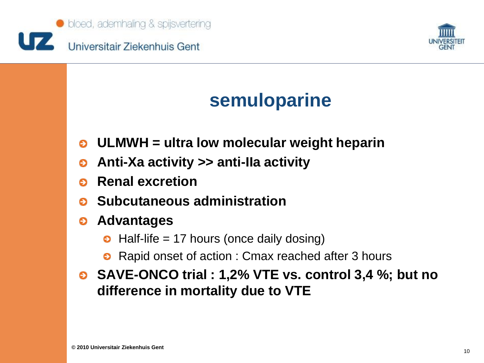



## **semuloparine**

- **ULMWH = ultra low molecular weight heparin**
- **Anti-Xa activity >> anti-IIa activity** €
- **Renal excretion** Θ
- **Subcutaneous administration** ๑
- **Advantages** ⊖
	- $\bullet$  Half-life = 17 hours (once daily dosing)
	- Rapid onset of action : Cmax reached after 3 hours
- **SAVE-ONCO trial : 1,2% VTE vs. control 3,4 %; but no difference in mortality due to VTE**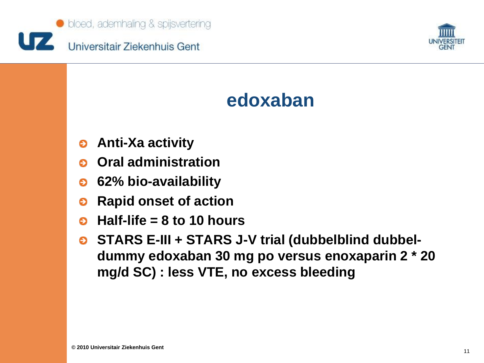

![](_page_10_Picture_1.jpeg)

## **edoxaban**

- **Anti-Xa activity**  $\bullet$
- **Oral administration** Θ
- **62% bio-availability** ⊖
- **Rapid onset of action**  $\bullet$
- **Half-life = 8 to 10 hours** Θ
- **STARS E-III + STARS J-V trial (dubbelblind dubbel-**⊖ **dummy edoxaban 30 mg po versus enoxaparin 2 \* 20 mg/d SC) : less VTE, no excess bleeding**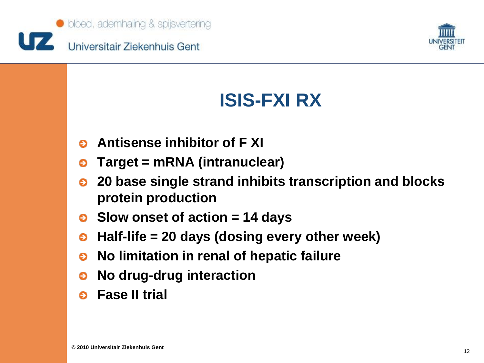![](_page_11_Picture_0.jpeg)

![](_page_11_Picture_1.jpeg)

# **ISIS-FXI RX**

- **Antisense inhibitor of F XI** Θ
- **Target = mRNA (intranuclear)** €
- **20 base single strand inhibits transcription and blocks**  € **protein production**
- **Slow onset of action = 14 days**
- **Half-life = 20 days (dosing every other week)** ⊖
- **No limitation in renal of hepatic failure**  $\bullet$
- **No drug-drug interaction** ๑
- **Fase II trial**Θ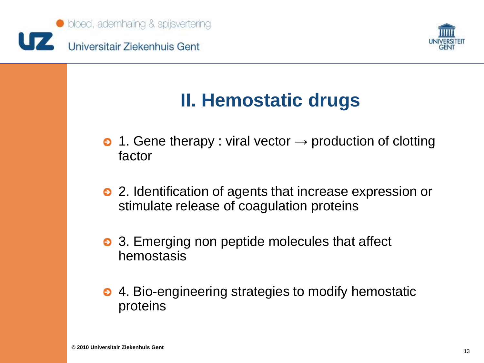![](_page_12_Picture_0.jpeg)

![](_page_12_Picture_1.jpeg)

# **II. Hemostatic drugs**

- 1. Gene therapy : viral vector  $\rightarrow$  production of clotting factor
- 2. Identification of agents that increase expression or stimulate release of coagulation proteins
- 3. Emerging non peptide molecules that affect hemostasis
- 4. Bio-engineering strategies to modify hemostatic proteins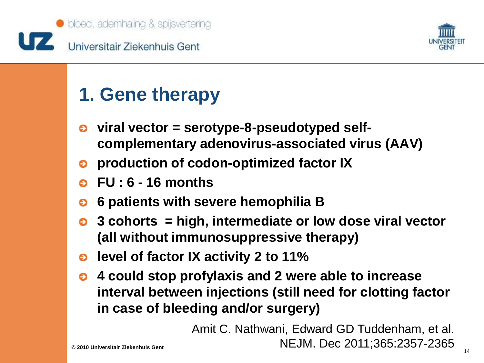![](_page_13_Picture_0.jpeg)

![](_page_13_Picture_1.jpeg)

## **1. Gene therapy**

- **viral vector = serotype-8-pseudotyped self-**⊖ **complementary adenovirus-associated virus (AAV)**
- **production of codon-optimized factor IX** €
- **FU : 6 - 16 months**
- **6 patients with severe hemophilia B** €
- **3 cohorts = high, intermediate or low dose viral vector**   $\bullet$ **(all without immunosuppressive therapy)**
- **e** level of factor IX activity 2 to 11%
- **4 could stop profylaxis and 2 were able to increase**   $\bullet$ **interval between injections (still need for clotting factor in case of bleeding and/or surgery)**

<sup>14</sup> **© 2010 Universitair Ziekenhuis Gent** NEJM. Dec 2011;365:2357-2365Amit C. Nathwani, Edward GD Tuddenham, et al.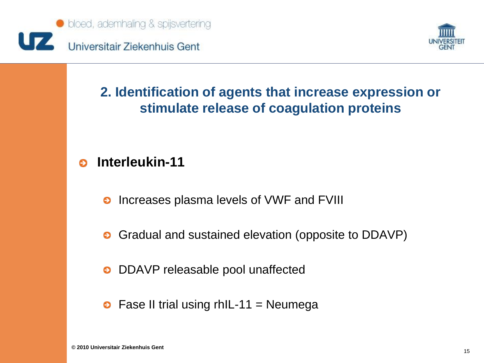![](_page_14_Picture_0.jpeg)

![](_page_14_Picture_1.jpeg)

### **2. Identification of agents that increase expression or stimulate release of coagulation proteins**

### **Interleukin-11** Θ

- Increases plasma levels of VWF and FVIII  $\bullet$
- Gradual and sustained elevation (opposite to DDAVP)  $\bullet$
- DDAVP releasable pool unaffected  $\bullet$
- $\bullet$  Fase II trial using rhIL-11 = Neumega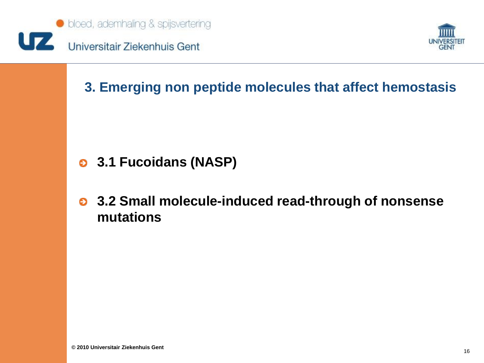![](_page_15_Picture_0.jpeg)

![](_page_15_Picture_1.jpeg)

### **3. Emerging non peptide molecules that affect hemostasis**

- **3.1 Fucoidans (NASP)**
- **3.2 Small molecule-induced read-through of nonsense mutations**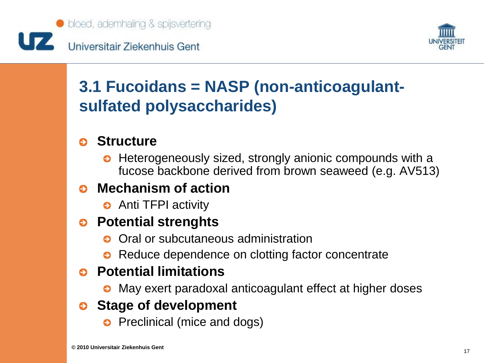![](_page_16_Picture_0.jpeg)

![](_page_16_Picture_1.jpeg)

## **3.1 Fucoidans = NASP (non-anticoagulantsulfated polysaccharides)**

### **Structure**

• Heterogeneously sized, strongly anionic compounds with a fucose backbone derived from brown seaweed (e.g. AV513)

## **Mechanism of action**

**•** Anti TFPI activity

### **Potential strenghts**

- **o** Oral or subcutaneous administration
- Reduce dependence on clotting factor concentrate

## **Potential limitations**

• May exert paradoxal anticoagulant effect at higher doses

## **Stage of development**

• Preclinical (mice and dogs)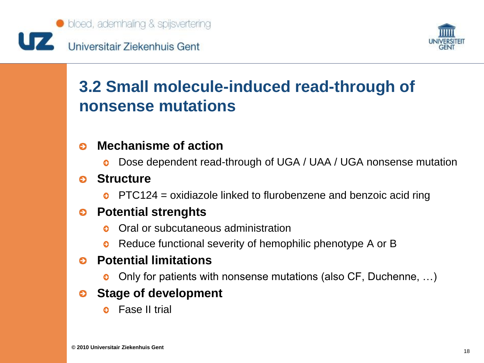![](_page_17_Picture_0.jpeg)

![](_page_17_Picture_1.jpeg)

## **3.2 Small molecule-induced read-through of nonsense mutations**

#### **Mechanisme of action** Θ

Dose dependent read-through of UGA / UAA / UGA nonsense mutation  $\bullet$ 

#### **Structure** Θ

 $\bullet$  PTC124 = oxidiazole linked to flurobenzene and benzoic acid ring

#### **Potential strenghts** ⊖

- Oral or subcutaneous administration
- Reduce functional severity of hemophilic phenotype A or B €

#### **Potential limitations** െ

Only for patients with nonsense mutations (also CF, Duchenne, …) €

#### **Stage of development** ⊖

**e** Fase II trial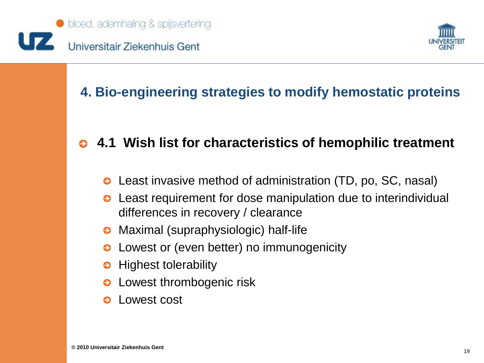![](_page_18_Picture_0.jpeg)

![](_page_18_Picture_1.jpeg)

## **4. Bio-engineering strategies to modify hemostatic proteins**

### **4.1 Wish list for characteristics of hemophilic treatment**  $\bullet$

- **■** Least invasive method of administration (TD, po, SC, nasal)
- Least requirement for dose manipulation due to interindividual € differences in recovery / clearance
- Maximal (supraphysiologic) half-life ๑
- Lowest or (even better) no immunogenicity
- Highest tolerability €
- Lowest thrombogenic risk
- Lowest costΘ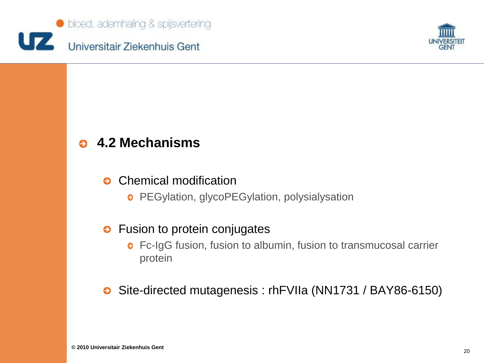![](_page_19_Picture_0.jpeg)

![](_page_19_Picture_1.jpeg)

### **4.2 Mechanisms** Θ

#### Chemical modification  $\bullet$

**PEGylation, glycoPEGylation, polysialysation** 

### • Fusion to protein conjugates

**o** Fc-IgG fusion, fusion to albumin, fusion to transmucosal carrier protein

Site-directed mutagenesis : rhFVIIa (NN1731 / BAY86-6150)⊖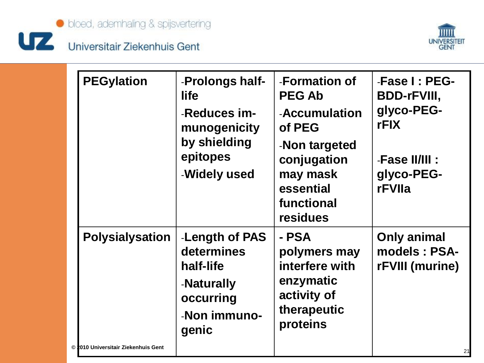![](_page_20_Picture_0.jpeg)

![](_page_20_Picture_1.jpeg)

# Universitair Ziekenhuis Gent

|                                                               | -Reduces im-<br>munogenicity<br>by shielding<br>epitopes<br>-Widely used                      | -Accumulation<br>of PEG<br>-Non targeted<br>conjugation<br>may mask<br>essential<br>functional<br>residues | glyco-PEG-<br><b>rFIX</b><br>-Fase II/III :<br>glyco-PEG-<br>rFVIIa |
|---------------------------------------------------------------|-----------------------------------------------------------------------------------------------|------------------------------------------------------------------------------------------------------------|---------------------------------------------------------------------|
| <b>Polysialysation</b><br>© 2010 Universitair Ziekenhuis Gent | -Length of PAS<br>determines<br>half-life<br>-Naturally<br>occurring<br>-Non immuno-<br>genic | - PSA<br>polymers may<br>interfere with<br>enzymatic<br>activity of<br>therapeutic<br>proteins             | <b>Only animal</b><br>models: PSA-<br>rFVIII (murine)<br>21         |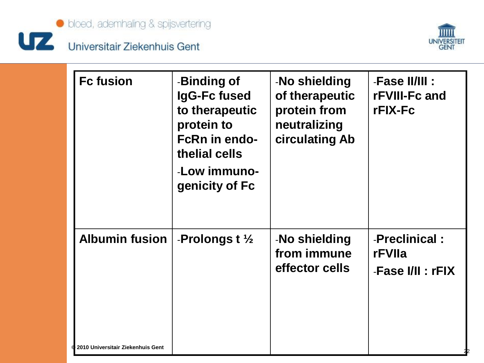![](_page_21_Picture_0.jpeg)

![](_page_21_Picture_1.jpeg)

| <b>Fc fusion</b>                                                    | -Binding of<br>IgG-Fc fused<br>to therapeutic<br>protein to<br><b>FcRn in endo-</b><br>thelial cells<br>-Low immuno-<br>genicity of Fc | -No shielding<br>of therapeutic<br>protein from<br>neutralizing<br>circulating Ab | -Fase II/III :<br>rFVIII-Fc and<br>rFIX-Fc   |
|---------------------------------------------------------------------|----------------------------------------------------------------------------------------------------------------------------------------|-----------------------------------------------------------------------------------|----------------------------------------------|
| <b>Albumin fusion</b><br><b>4 2010 Universitair Ziekenhuis Gent</b> | -Prolongs t $\frac{1}{2}$                                                                                                              | -No shielding<br>from immune<br>effector cells                                    | -Preclinical:<br>rFVIIa<br>-Fase I/II : rFIX |